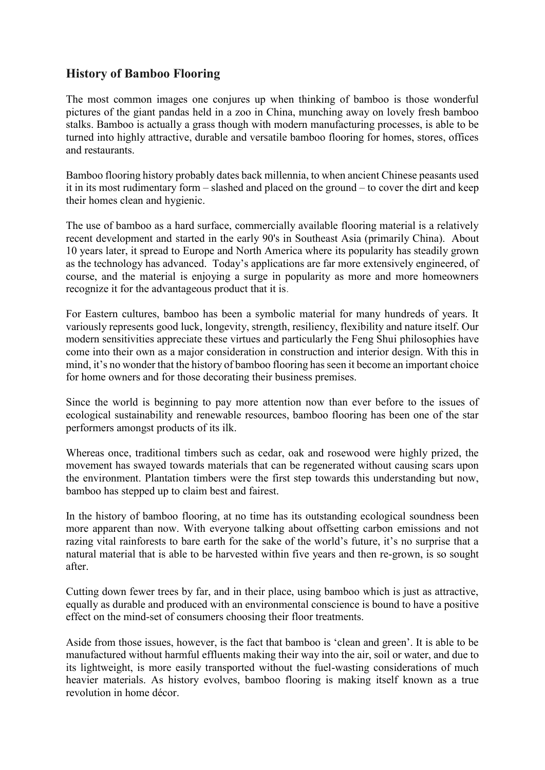## **History of Bamboo Flooring**

The most common images one conjures up when thinking of bamboo is those wonderful pictures of the giant pandas held in a zoo in China, munching away on lovely fresh bamboo stalks. Bamboo is actually a grass though with modern manufacturing processes, is able to be turned into highly attractive, durable and versatile bamboo flooring for homes, stores, offices and restaurants.

Bamboo flooring history probably dates back millennia, to when ancient Chinese peasants used it in its most rudimentary form – slashed and placed on the ground – to cover the dirt and keep their homes clean and hygienic.

The use of bamboo as a hard surface, commercially available flooring material is a relatively recent development and started in the early 90's in Southeast Asia (primarily China). About 10 years later, it spread to Europe and North America where its popularity has steadily grown as the technology has advanced. Today's applications are far more extensively engineered, of course, and the material is enjoying a surge in popularity as more and more homeowners recognize it for the advantageous product that it is.

For Eastern cultures, bamboo has been a symbolic material for many hundreds of years. It variously represents good luck, longevity, strength, resiliency, flexibility and nature itself. Our modern sensitivities appreciate these virtues and particularly the Feng Shui philosophies have come into their own as a major consideration in construction and interior design. With this in mind, it's no wonder that the history of bamboo flooring has seen it become an important choice for home owners and for those decorating their business premises.

Since the world is beginning to pay more attention now than ever before to the issues of ecological sustainability and renewable resources, bamboo flooring has been one of the star performers amongst products of its ilk.

Whereas once, traditional timbers such as cedar, oak and rosewood were highly prized, the movement has swayed towards materials that can be regenerated without causing scars upon the environment. Plantation timbers were the first step towards this understanding but now, bamboo has stepped up to claim best and fairest.

In the history of bamboo flooring, at no time has its outstanding ecological soundness been more apparent than now. With everyone talking about offsetting carbon emissions and not razing vital rainforests to bare earth for the sake of the world's future, it's no surprise that a natural material that is able to be harvested within five years and then re-grown, is so sought after.

Cutting down fewer trees by far, and in their place, using bamboo which is just as attractive, equally as durable and produced with an environmental conscience is bound to have a positive effect on the mind-set of consumers choosing their floor treatments.

Aside from those issues, however, is the fact that bamboo is 'clean and green'. It is able to be manufactured without harmful effluents making their way into the air, soil or water, and due to its lightweight, is more easily transported without the fuel-wasting considerations of much heavier materials. As history evolves, bamboo flooring is making itself known as a true revolution in home décor.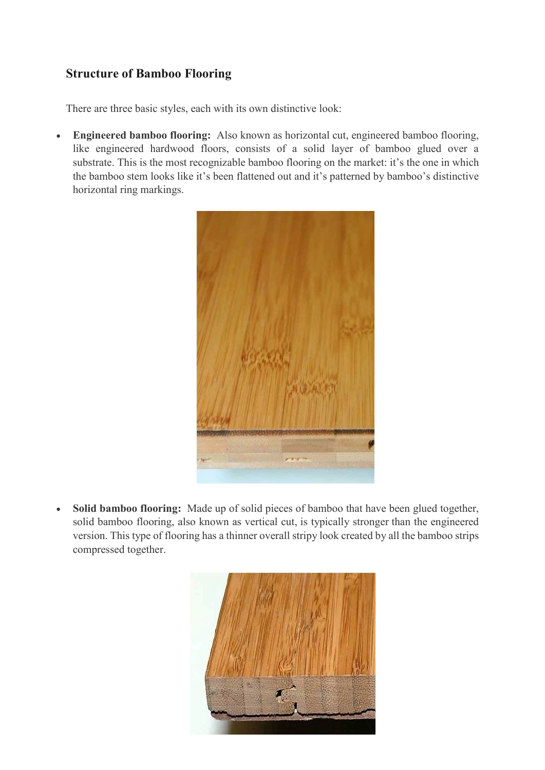# **Structure of Bamboo Flooring**

There are three basic styles, each with its own distinctive look:

 **Engineered bamboo flooring:** Also known as horizontal cut, engineered bamboo flooring, like engineered hardwood floors, consists of a solid layer of bamboo glued over a substrate. This is the most recognizable bamboo flooring on the market: it's the one in which the bamboo stem looks like it's been flattened out and it's patterned by bamboo's distinctive horizontal ring markings.



 **Solid bamboo flooring:** Made up of solid pieces of bamboo that have been glued together, solid bamboo flooring, also known as vertical cut, is typically stronger than the engineered version. This type of flooring has a thinner overall stripy look created by all the bamboo strips compressed together.

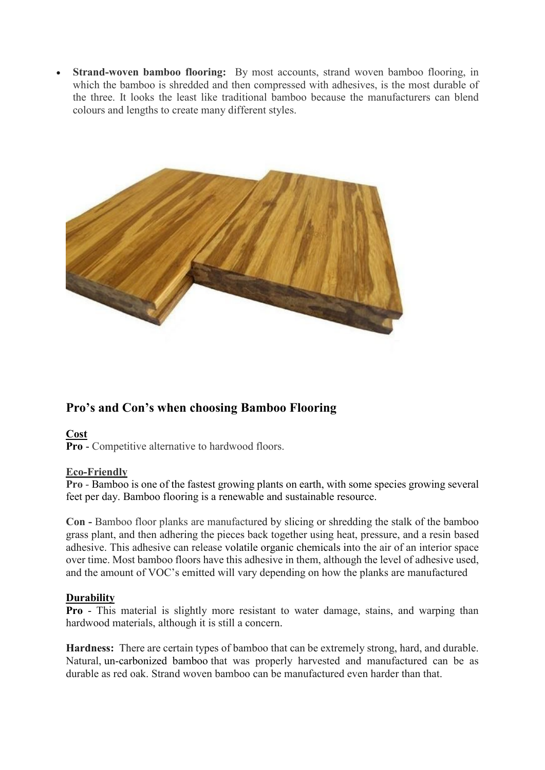**Strand-woven bamboo flooring:** By most accounts, strand woven bamboo flooring, in which the bamboo is shredded and then compressed with adhesives, is the most durable of the three. It looks the least like traditional bamboo because the manufacturers can blend colours and lengths to create many different styles.



## **Pro's and Con's when choosing Bamboo Flooring**

### **Cost**

**Pro** - Competitive alternative to hardwood floors.

#### **Eco-Friendly**

**Pro** - Bamboo is one of the fastest growing plants on earth, with some species growing several feet per day. Bamboo flooring is a renewable and sustainable resource.

**Con -** Bamboo floor planks are manufactured by slicing or shredding the stalk of the bamboo grass plant, and then adhering the pieces back together using heat, pressure, and a resin based adhesive. This adhesive can release [volatile organic chemicals](http://flooring.about.com/od/Glossary-Definitions/g/Volatile-Organic-Chemicals.htm) into the air of an interior space over time. Most bamboo floors have this adhesive in them, although the level of adhesive used, and the amount of VOC's emitted will vary depending on how the planks are manufactured

#### **Durability**

**Pro** - This material is slightly more resistant to water damage, stains, and warping than hardwood materials, although it is still a concern.

**Hardness:** There are certain types of bamboo that can be extremely strong, hard, and durable. Natural, [un-carbonized bamboo](http://flooring.about.com/od/floor-pictures/ss/Bamboo-Flooring-Pictures-And-Design-Ideas_4.htm) that was properly harvested and manufactured can be as durable as red oak. Strand woven bamboo can be manufactured even harder than that.